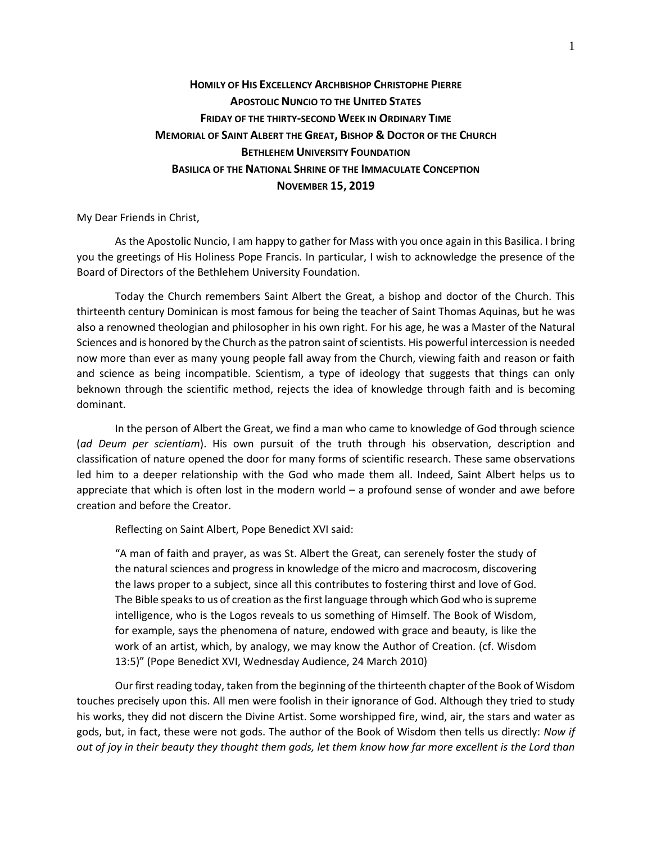## **HOMILY OF HIS EXCELLENCY ARCHBISHOP CHRISTOPHE PIERRE APOSTOLIC NUNCIO TO THE UNITED STATES FRIDAY OF THE THIRTY-SECOND WEEK IN ORDINARY TIME MEMORIAL OF SAINT ALBERT THE GREAT, BISHOP & DOCTOR OF THE CHURCH BETHLEHEM UNIVERSITY FOUNDATION BASILICA OF THE NATIONAL SHRINE OF THE IMMACULATE CONCEPTION NOVEMBER 15, 2019**

My Dear Friends in Christ,

As the Apostolic Nuncio, I am happy to gather for Mass with you once again in this Basilica. I bring you the greetings of His Holiness Pope Francis. In particular, I wish to acknowledge the presence of the Board of Directors of the Bethlehem University Foundation.

Today the Church remembers Saint Albert the Great, a bishop and doctor of the Church. This thirteenth century Dominican is most famous for being the teacher of Saint Thomas Aquinas, but he was also a renowned theologian and philosopher in his own right. For his age, he was a Master of the Natural Sciences and is honored by the Church as the patron saint of scientists. His powerful intercession is needed now more than ever as many young people fall away from the Church, viewing faith and reason or faith and science as being incompatible. Scientism, a type of ideology that suggests that things can only beknown through the scientific method, rejects the idea of knowledge through faith and is becoming dominant.

In the person of Albert the Great, we find a man who came to knowledge of God through science (*ad Deum per scientiam*). His own pursuit of the truth through his observation, description and classification of nature opened the door for many forms of scientific research. These same observations led him to a deeper relationship with the God who made them all. Indeed, Saint Albert helps us to appreciate that which is often lost in the modern world – a profound sense of wonder and awe before creation and before the Creator.

Reflecting on Saint Albert, Pope Benedict XVI said:

"A man of faith and prayer, as was St. Albert the Great, can serenely foster the study of the natural sciences and progress in knowledge of the micro and macrocosm, discovering the laws proper to a subject, since all this contributes to fostering thirst and love of God. The Bible speaks to us of creation as the first language through which God who is supreme intelligence, who is the Logos reveals to us something of Himself. The Book of Wisdom, for example, says the phenomena of nature, endowed with grace and beauty, is like the work of an artist, which, by analogy, we may know the Author of Creation. (cf. Wisdom 13:5)" (Pope Benedict XVI, Wednesday Audience, 24 March 2010)

Our first reading today, taken from the beginning of the thirteenth chapter of the Book of Wisdom touches precisely upon this. All men were foolish in their ignorance of God. Although they tried to study his works, they did not discern the Divine Artist. Some worshipped fire, wind, air, the stars and water as gods, but, in fact, these were not gods. The author of the Book of Wisdom then tells us directly: *Now if out of joy in their beauty they thought them gods, let them know how far more excellent is the Lord than*